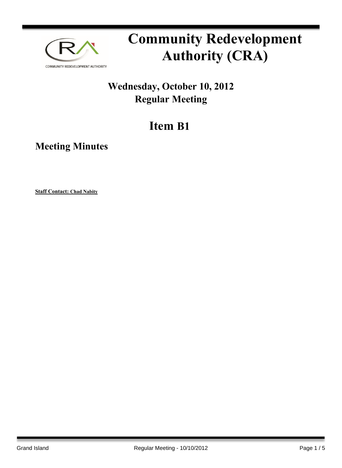

# **Community Redevelopment Authority (CRA)**

### **Wednesday, October 10, 2012 Regular Meeting**

## **Item B1**

**Meeting Minutes**

**Staff Contact: Chad Nabity**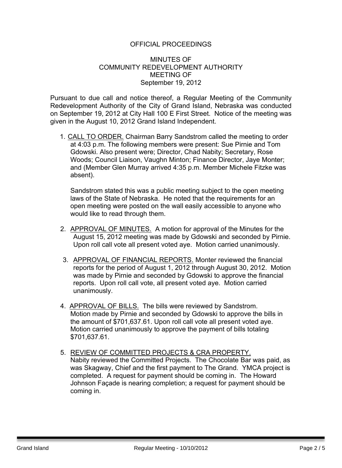#### OFFICIAL PROCEEDINGS

#### MINUTES OF COMMUNITY REDEVELOPMENT AUTHORITY MEETING OF September 19, 2012

Pursuant to due call and notice thereof, a Regular Meeting of the Community Redevelopment Authority of the City of Grand Island, Nebraska was conducted on September 19, 2012 at City Hall 100 E First Street. Notice of the meeting was given in the August 10, 2012 Grand Island Independent.

1. CALL TO ORDER. Chairman Barry Sandstrom called the meeting to order at 4:03 p.m. The following members were present: Sue Pirnie and Tom Gdowski. Also present were; Director, Chad Nabity; Secretary, Rose Woods; Council Liaison, Vaughn Minton; Finance Director, Jaye Monter; and (Member Glen Murray arrived 4:35 p.m. Member Michele Fitzke was absent).

Sandstrom stated this was a public meeting subject to the open meeting laws of the State of Nebraska. He noted that the requirements for an open meeting were posted on the wall easily accessible to anyone who would like to read through them.

- 2. APPROVAL OF MINUTES. A motion for approval of the Minutes for the August 15, 2012 meeting was made by Gdowski and seconded by Pirnie. Upon roll call vote all present voted aye. Motion carried unanimously.
- 3. APPROVAL OF FINANCIAL REPORTS. Monter reviewed the financial reports for the period of August 1, 2012 through August 30, 2012. Motion was made by Pirnie and seconded by Gdowski to approve the financial reports. Upon roll call vote, all present voted aye. Motion carried unanimously.
- 4. APPROVAL OF BILLS. The bills were reviewed by Sandstrom. Motion made by Pirnie and seconded by Gdowski to approve the bills in the amount of \$701,637.61. Upon roll call vote all present voted aye. Motion carried unanimously to approve the payment of bills totaling \$701,637.61.
- 5. REVIEW OF COMMITTED PROJECTS & CRA PROPERTY. Nabity reviewed the Committed Projects. The Chocolate Bar was paid, as was Skagway, Chief and the first payment to The Grand. YMCA project is completed. A request for payment should be coming in. The Howard Johnson Façade is nearing completion; a request for payment should be coming in.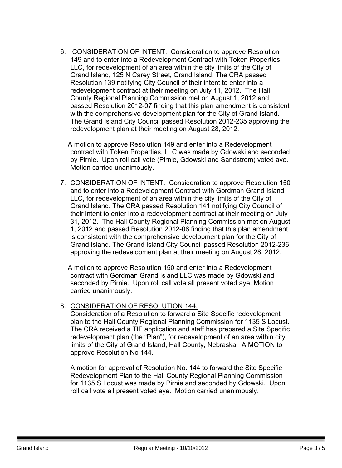6. CONSIDERATION OF INTENT. Consideration to approve Resolution 149 and to enter into a Redevelopment Contract with Token Properties, LLC, for redevelopment of an area within the city limits of the City of Grand Island, 125 N Carey Street, Grand Island. The CRA passed Resolution 139 notifying City Council of their intent to enter into a redevelopment contract at their meeting on July 11, 2012. The Hall County Regional Planning Commission met on August 1, 2012 and passed Resolution 2012-07 finding that this plan amendment is consistent with the comprehensive development plan for the City of Grand Island. The Grand Island City Council passed Resolution 2012-235 approving the redevelopment plan at their meeting on August 28, 2012.

A motion to approve Resolution 149 and enter into a Redevelopment contract with Token Properties, LLC was made by Gdowski and seconded by Pirnie. Upon roll call vote (Pirnie, Gdowski and Sandstrom) voted aye. Motion carried unanimously.

7. CONSIDERATION OF INTENT. Consideration to approve Resolution 150 and to enter into a Redevelopment Contract with Gordman Grand Island LLC, for redevelopment of an area within the city limits of the City of Grand Island. The CRA passed Resolution 141 notifying City Council of their intent to enter into a redevelopment contract at their meeting on July 31, 2012. The Hall County Regional Planning Commission met on August 1, 2012 and passed Resolution 2012-08 finding that this plan amendment is consistent with the comprehensive development plan for the City of Grand Island. The Grand Island City Council passed Resolution 2012-236 approving the redevelopment plan at their meeting on August 28, 2012.

A motion to approve Resolution 150 and enter into a Redevelopment contract with Gordman Grand Island LLC was made by Gdowski and seconded by Pirnie. Upon roll call vote all present voted aye. Motion carried unanimously.

#### 8. CONSIDERATION OF RESOLUTION 144.

Consideration of a Resolution to forward a Site Specific redevelopment plan to the Hall County Regional Planning Commission for 1135 S Locust. The CRA received a TIF application and staff has prepared a Site Specific redevelopment plan (the "Plan"), for redevelopment of an area within city limits of the City of Grand Island, Hall County, Nebraska. A MOTION to approve Resolution No 144.

A motion for approval of Resolution No. 144 to forward the Site Specific Redevelopment Plan to the Hall County Regional Planning Commission for 1135 S Locust was made by Pirnie and seconded by Gdowski. Upon roll call vote all present voted aye. Motion carried unanimously.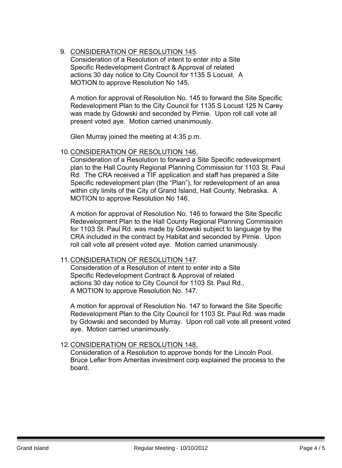9. CONSIDERATION OF RESOLUTION 145.

Consideration of a Resolution of intent to enter into a Site Specific Redevelopment Contract & Approval of related actions 30 day notice to City Council for 1135 S Locust. A MOTION to approve Resolution No 145.

A motion for approval of Resolution No. 145 to forward the Site Specific Redevelopment Plan to the City Council for 1135 S Locust 125 N Carey was made by Gdowski and seconded by Pirnie. Upon roll call vote all present voted aye. Motion carried unanimously.

Glen Murray joined the meeting at 4:35 p.m.

#### 10.CONSIDERATION OF RESOLUTION 146.

Consideration of a Resolution to forward a Site Specific redevelopment plan to the Hall County Regional Planning Commission for 1103 St. Paul Rd. The CRA received a TIF application and staff has prepared a Site Specific redevelopment plan (the "Plan"), for redevelopment of an area within city limits of the City of Grand Island, Hall County, Nebraska. A MOTION to approve Resolution No 146.

A motion for approval of Resolution No. 146 to forward the Site Specific Redevelopment Plan to the Hall County Regional Planning Commission for 1103 St. Paul Rd. was made by Gdowski subject to language by the CRA included in the contract by Habitat and seconded by Pirnie. Upon roll call vote all present voted aye. Motion carried unanimously.

#### 11.CONSIDERATION OF RESOLUTION 147.

Consideration of a Resolution of intent to enter into a Site Specific Redevelopment Contract & Approval of related actions 30 day notice to City Council for 1103 St. Paul Rd., A MOTION to approve Resolution No. 147.

A motion for approval of Resolution No. 147 to forward the Site Specific Redevelopment Plan to the City Council for 1103 St. Paul Rd. was made by Gdowski and seconded by Murray. Upon roll call vote all present voted aye. Motion carried unanimously.

#### 12.CONSIDERATION OF RESOLUTION 148.

Consideration of a Resolution to approve bonds for the Lincoln Pool. Bruce Lefler from Ameritas investment corp explained the process to the board.